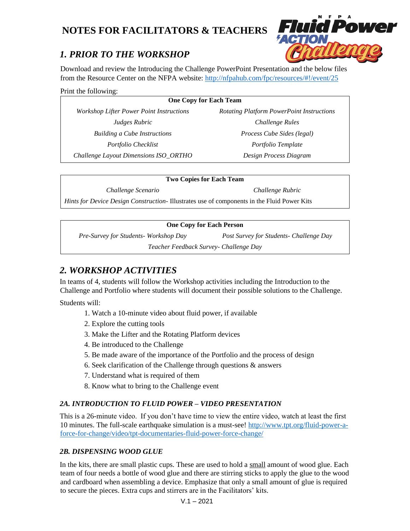# **NOTES FOR FACILITATORS & TEACHERS**



Download and review the Introducing the Challenge PowerPoint Presentation and the below files from the Resource Center on the NFPA website: <http://nfpahub.com/fpc/resources/#!/event/25>

Print the following:

| <b>One Copy for Each Team</b>                   |                                                  |
|-------------------------------------------------|--------------------------------------------------|
| <b>Workshop Lifter Power Point Instructions</b> | <b>Rotating Platform PowerPoint Instructions</b> |
| Judges Rubric                                   | Challenge Rules                                  |
| <b>Building a Cube Instructions</b>             | Process Cube Sides (legal)                       |
| Portfolio Checklist                             | Portfolio Template                               |
| Challenge Layout Dimensions ISO_ORTHO           | Design Process Diagram                           |

#### **Two Copies for Each Team**

*Challenge Scenario Challenge Rubric*

*Hints for Device Design Construction-* Illustrates use of components in the Fluid Power Kits

#### **One Copy for Each Person**

*Pre-Survey for Students- Workshop Day Post Survey for Students- Challenge Day*

*Teacher Feedback Survey- Challenge Day*

# *2. WORKSHOP ACTIVITIES*

In teams of 4, students will follow the Workshop activities including the Introduction to the Challenge and Portfolio where students will document their possible solutions to the Challenge.

Students will:

- 1. Watch a 10-minute video about fluid power, if available
- 2. Explore the cutting tools
- 3. Make the Lifter and the Rotating Platform devices
- 4. Be introduced to the Challenge
- 5. Be made aware of the importance of the Portfolio and the process of design
- 6. Seek clarification of the Challenge through questions & answers
- 7. Understand what is required of them
- 8. Know what to bring to the Challenge event

# *2A. INTRODUCTION TO FLUID POWER – VIDEO PRESENTATION*

This is a 26-minute video. If you don't have time to view the entire video, watch at least the first 10 minutes. The full-scale earthquake simulation is a must-see! [http://www.tpt.org/fluid-power-a](http://www.tpt.org/fluid-power-a-force-for-change/video/tpt-documentaries-fluid-power-force-change/)[force-for-change/video/tpt-documentaries-fluid-power-force-change/](http://www.tpt.org/fluid-power-a-force-for-change/video/tpt-documentaries-fluid-power-force-change/)

# *2B. DISPENSING WOOD GLUE*

In the kits, there are small plastic cups. These are used to hold a small amount of wood glue. Each team of four needs a bottle of wood glue and there are stirring sticks to apply the glue to the wood and cardboard when assembling a device. Emphasize that only a small amount of glue is required to secure the pieces. Extra cups and stirrers are in the Facilitators' kits.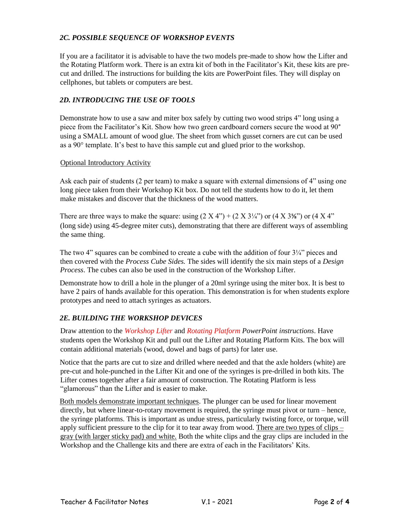#### *2C. POSSIBLE SEQUENCE OF WORKSHOP EVENTS*

If you are a facilitator it is advisable to have the two models pre-made to show how the Lifter and the Rotating Platform work. There is an extra kit of both in the Facilitator's Kit, these kits are precut and drilled. The instructions for building the kits are PowerPoint files. They will display on cellphones, but tablets or computers are best.

#### *2D. INTRODUCING THE USE OF TOOLS*

Demonstrate how to use a saw and miter box safely by cutting two wood strips 4" long using a piece from the Facilitator's Kit. Show how two green cardboard corners secure the wood at 90° using a SMALL amount of wood glue. The sheet from which gusset corners are cut can be used as a 90° template. It's best to have this sample cut and glued prior to the workshop.

#### Optional Introductory Activity

Ask each pair of students (2 per team) to make a square with external dimensions of 4" using one long piece taken from their Workshop Kit box. Do not tell the students how to do it, let them make mistakes and discover that the thickness of the wood matters.

There are three ways to make the square: using  $(2 \text{ X } 4)$  +  $(2 \text{ X } 3\frac{1}{4})$  or  $(4 \text{ X } 3\frac{5}{8})$  or  $(4 \text{ X } 4)$ <sup>\*</sup> (long side) using 45-degree miter cuts), demonstrating that there are different ways of assembling the same thing.

The two 4" squares can be combined to create a cube with the addition of four  $3\frac{1}{4}$ " pieces and then covered with the *Process Cube Sides.* The sides will identify the six main steps of a *Design Process*. The cubes can also be used in the construction of the Workshop Lifter.

Demonstrate how to drill a hole in the plunger of a 20ml syringe using the miter box. It is best to have 2 pairs of hands available for this operation. This demonstration is for when students explore prototypes and need to attach syringes as actuators.

# *2E. BUILDING THE WORKSHOP DEVICES*

Draw attention to the *Workshop Lifter* and *Rotating Platform PowerPoint instructions*. Have students open the Workshop Kit and pull out the Lifter and Rotating Platform Kits. The box will contain additional materials (wood, dowel and bags of parts) for later use.

Notice that the parts are cut to size and drilled where needed and that the axle holders (white) are pre-cut and hole-punched in the Lifter Kit and one of the syringes is pre-drilled in both kits. The Lifter comes together after a fair amount of construction. The Rotating Platform is less "glamorous" than the Lifter and is easier to make.

Both models demonstrate important techniques. The plunger can be used for linear movement directly, but where linear-to-rotary movement is required, the syringe must pivot or turn – hence, the syringe platforms. This is important as undue stress, particularly twisting force, or torque, will apply sufficient pressure to the clip for it to tear away from wood. There are two types of clips – gray (with larger sticky pad) and white. Both the white clips and the gray clips are included in the Workshop and the Challenge kits and there are extra of each in the Facilitators' Kits.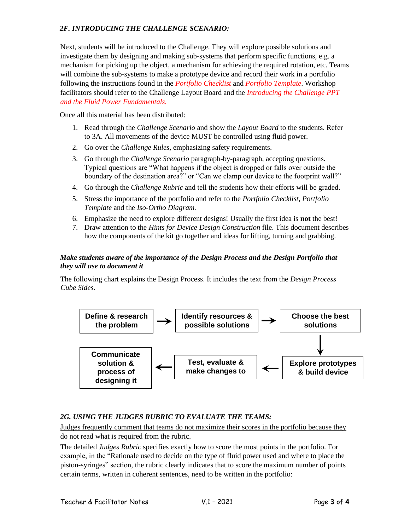### *2F. INTRODUCING THE CHALLENGE SCENARIO:*

Next, students will be introduced to the Challenge. They will explore possible solutions and investigate them by designing and making sub-systems that perform specific functions, e.g. a mechanism for picking up the object, a mechanism for achieving the required rotation, etc. Teams will combine the sub-systems to make a prototype device and record their work in a portfolio following the instructions found in the *Portfolio Checklist* and *Portfolio Template*. Workshop facilitators should refer to the Challenge Layout Board and the *Introducing the Challenge PPT and the Fluid Power Fundamentals.*

Once all this material has been distributed:

- 1. Read through the *Challenge Scenario* and show the *Layout Board* to the students. Refer to 3A. All movements of the device MUST be controlled using fluid power*.*
- 2. Go over the *Challenge Rules,* emphasizing safety requirements.
- 3. Go through the *Challenge Scenario* paragraph-by-paragraph, accepting questions. Typical questions are "What happens if the object is dropped or falls over outside the boundary of the destination area?" or "Can we clamp our device to the footprint wall?"
- 4. Go through the *Challenge Rubric* and tell the students how their efforts will be graded.
- 5. Stress the importance of the portfolio and refer to the *Portfolio Checklist*, *Portfolio Template* and the *Iso-Ortho Diagram.*
- 6. Emphasize the need to explore different designs! Usually the first idea is **not** the best!
- 7. Draw attention to the *Hints for Device Design Construction* file. This document describes how the components of the kit go together and ideas for lifting, turning and grabbing.

#### *Make students aware of the importance of the Design Process and the Design Portfolio that they will use to document it*

The following chart explains the Design Process. It includes the text from the *Design Process Cube Sides*.



# *2G. USING THE JUDGES RUBRIC TO EVALUATE THE TEAMS:*

Judges frequently comment that teams do not maximize their scores in the portfolio because they do not read what is required from the rubric.

The detailed *Judges Rubric* specifies exactly how to score the most points in the portfolio. For example, in the "Rationale used to decide on the type of fluid power used and where to place the piston-syringes" section, the rubric clearly indicates that to score the maximum number of points certain terms, written in coherent sentences, need to be written in the portfolio: